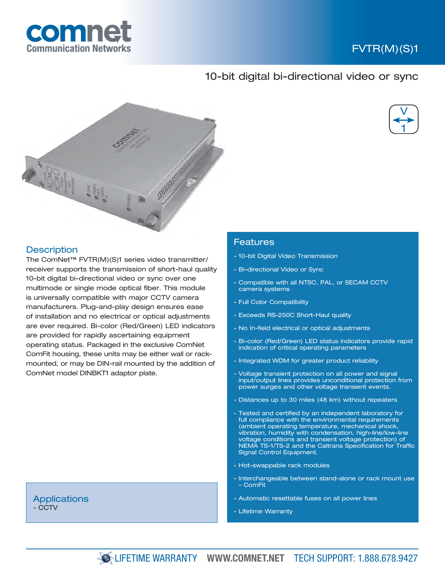

# FVTR(M)(S)1

## 10-bit digital bi-directional video or sync





## **Description**

The ComNet™ FVTR(M)(S)1 series video transmitter/ receiver supports the transmission of short-haul quality 10-bit digital bi-directional video or sync over one multimode or single mode optical fiber. This module is universally compatible with major CCTV camera manufacturers. Plug-and-play design ensures ease of installation and no electrical or optical adjustments are ever required. Bi-color (Red/Green) LED indicators are provided for rapidly ascertaining equipment operating status. Packaged in the exclusive ComNet ComFit housing, these units may be either wall or rackmounted, or may be DIN-rail mounted by the addition of ComNet model DINBKT1 adaptor plate.

#### **Applications** - CCTV

#### Features

- 10-bit Digital Video Transmission
- Bi-directional Video or Sync
- Compatible with all NTSC, PAL, or SECAM CCTV camera systems
- Full Color Compatibility
- Exceeds RS-250C Short-Haul quality
- No In-field electrical or optical adjustments
- Bi-color (Red/Green) LED status indicators provide rapid indication of critical operating parameters
- Integrated WDM for greater product reliability
- Voltage transient protection on all power and signal input/output lines provides unconditional protection from power surges and other voltage transient events.
- Distances up to 30 miles (48 km) without repeaters
- Tested and certified by an independent laboratory for full compliance with the environmental requirements (ambient operating temperature, mechanical shock, vibration, humidity with condensation, high-line/low-line voltage conditions and transient voltage protection) of NEMA TS-1/TS-2 and the Caltrans Specification for Traffic Signal Control Equipment.
- Hot-swappable rack modules
- Interchangeable between stand-alone or rack mount use – ComFit
- Automatic resettable fuses on all power lines
- Lifetime Warranty